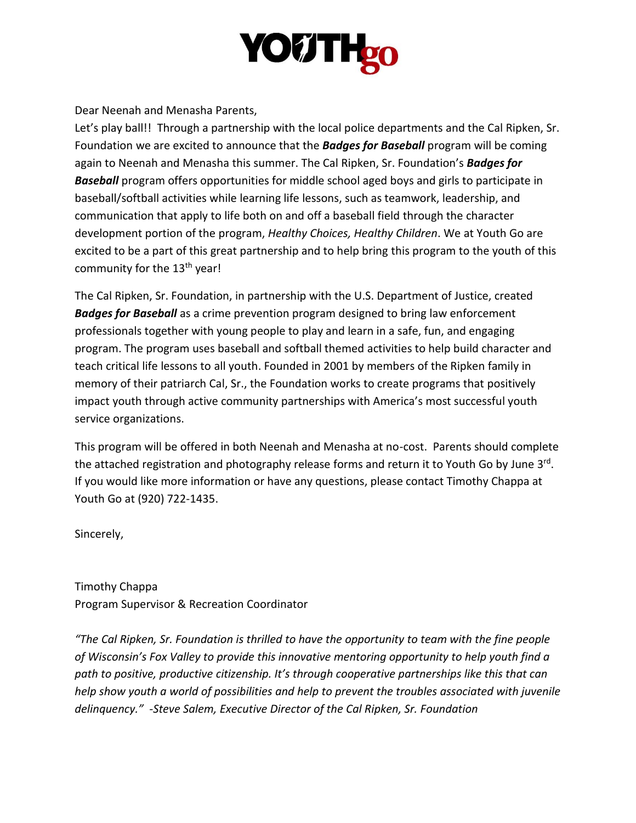# **YOUTH<sub>20</sub>**

Dear Neenah and Menasha Parents,

Let's play ball!! Through a partnership with the local police departments and the Cal Ripken, Sr. Foundation we are excited to announce that the *Badges for Baseball* program will be coming again to Neenah and Menasha this summer. The Cal Ripken, Sr. Foundation's *Badges for Baseball* program offers opportunities for middle school aged boys and girls to participate in baseball/softball activities while learning life lessons, such as teamwork, leadership, and communication that apply to life both on and off a baseball field through the character development portion of the program, *Healthy Choices, Healthy Children*. We at Youth Go are excited to be a part of this great partnership and to help bring this program to the youth of this community for the 13<sup>th</sup> year!

The Cal Ripken, Sr. Foundation, in partnership with the U.S. Department of Justice, created *Badges for Baseball* as a crime prevention program designed to bring law enforcement professionals together with young people to play and learn in a safe, fun, and engaging program. The program uses baseball and softball themed activities to help build character and teach critical life lessons to all youth. Founded in 2001 by members of the Ripken family in memory of their patriarch Cal, Sr., the Foundation works to create programs that positively impact youth through active community partnerships with America's most successful youth service organizations.

This program will be offered in both Neenah and Menasha at no-cost. Parents should complete the attached registration and photography release forms and return it to Youth Go by June 3<sup>rd</sup>. If you would like more information or have any questions, please contact Timothy Chappa at Youth Go at (920) 722-1435.

Sincerely,

Timothy Chappa Program Supervisor & Recreation Coordinator

*"The Cal Ripken, Sr. Foundation is thrilled to have the opportunity to team with the fine people of Wisconsin's Fox Valley to provide this innovative mentoring opportunity to help youth find a path to positive, productive citizenship. It's through cooperative partnerships like this that can help show youth a world of possibilities and help to prevent the troubles associated with juvenile delinquency." -Steve Salem, Executive Director of the Cal Ripken, Sr. Foundation*